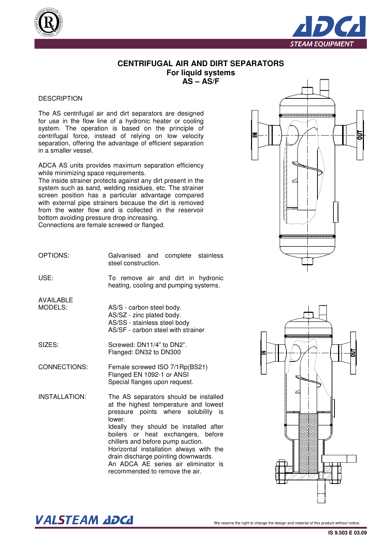



## **CENTRIFUGAL AIR AND DIRT SEPARATORS For liquid systems**

**AS – AS/F** 

## **DESCRIPTION**

The AS centrifugal air and dirt separators are designed for use in the flow line of a hydronic heater or cooling system. The operation is based on the principle of centrifugal force, instead of relying on low velocity separation, offering the advantage of efficient separation in a smaller vessel.

ADCA AS units provides maximum separation efficiency while minimizing space requirements.

The inside strainer protects against any dirt present in the system such as sand, welding residues, etc. The strainer screen position has a particular advantage compared with external pipe strainers because the dirt is removed from the water flow and is collected in the reservoir bottom avoiding pressure drop increasing.

Connections are female screwed or flanged.



OPTIONS: USE: Galvanised and complete stainless steel construction. To remove air and dirt in hydronic heating, cooling and pumping systems.

AVAILABLE MODELS:

AS/S - carbon steel body. AS/SZ - zinc plated body. AS/SS - stainless steel body AS/SF - carbon steel with strainer

SIZES: Screwed: DN11/4" to DN2". Flanged: DN32 to DN300

CONNECTIONS: Female screwed ISO 7/1Rp(BS21) Flanged EN 1092-1 or ANSI Special flanges upon request.

INSTALLATION: The AS separators should be installed at the highest temperature and lowest pressure points where solubility is lower. Ideally they should be installed after boilers or heat exchangers, before chillers and before pump suction. Horizontal installation always with the drain discharge pointing downwards. An ADCA AE series air eliminator is recommended to remove the air.



## $\bm{VALSTEAM}$  and  $\bm{DCL}$  we reserve the right to change the design and material of this product without notice.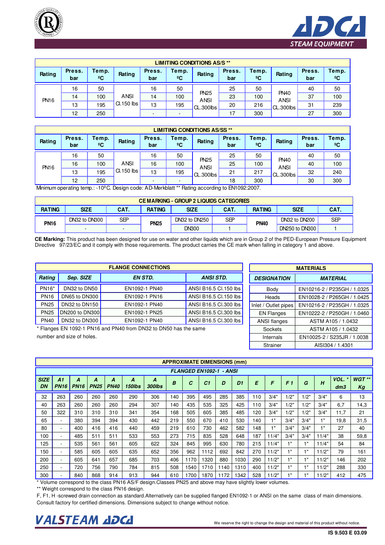



|             |               |                       |             |               |                       | <b>LIMITING CONDITIONS AS/S**</b> |               |                       |                            |               |                       |
|-------------|---------------|-----------------------|-------------|---------------|-----------------------|-----------------------------------|---------------|-----------------------|----------------------------|---------------|-----------------------|
| Rating      | Press.<br>bar | Temp.<br>$^{\circ}$ C | Rating      | Press.<br>bar | Temp.<br>$^{\circ}$ C | Rating                            | Press.<br>bar | Temp.<br>$^{\circ}$ C | Rating                     | Press.<br>bar | Temp.<br>$^{\circ}$ C |
|             | 16            | 50                    |             | 16            | 50                    |                                   | 25            | 50                    |                            | 40            | 50                    |
| <b>PN16</b> | 14            | 100                   | <b>ANSI</b> | 14            | 100                   | <b>PN25</b><br><b>ANSI</b>        | 23            | 100                   | <b>PN40</b><br><b>ANSI</b> | 37            | 100                   |
|             | 13            | 195                   | Cl.150 lbs  | 13            | 195                   | CL.300lbs                         | 20            | 216                   | <b>CL.300lbs</b>           | 31            | 239                   |
|             | 12            | 250                   |             |               |                       |                                   |               | 300                   |                            | 27            | 300                   |

|             | <b>LIMITING CONDITIONS AS/SS**</b> |                       |              |               |             |                            |               |                       |                            |               |                       |
|-------------|------------------------------------|-----------------------|--------------|---------------|-------------|----------------------------|---------------|-----------------------|----------------------------|---------------|-----------------------|
| Rating      | Press.<br>bar                      | Temp.<br>$^{\circ}$ C | Rating       | Press.<br>bar | Temp.<br>ºC | Rating                     | Press.<br>bar | Temp.<br>$^{\circ}$ C | Rating                     | Press.<br>bar | Temp.<br>$^{\circ}$ C |
|             | 16                                 | 50                    |              | 16            | 50          |                            | 25            | 50                    |                            | 40            | 50                    |
| <b>PN16</b> | 16                                 | 100                   | <b>ANSI</b>  | 16            | 100         | <b>PN25</b><br><b>ANSI</b> | 25            | 100                   | <b>PN40</b><br><b>ANSI</b> | 40            | 100                   |
|             | 13                                 | 195                   | $Cl.150$ lbs | 13            | 195         | CL.300lbs                  | 21            | 217                   | <b>CL.300lbs</b>           | 32            | 240                   |
|             | 12                                 | 250                   |              |               |             |                            | 18            | 300                   |                            | 30            | 300                   |

Minimum operating temp.: -10°C. Design code: AD-Merkblatt \*\* Rating according to EN1092:2007.

|               | <b>CEMARKING - GROUP 2 LIQUIDS CATEGORIES</b> |      |                              |              |               |                     |                |     |  |  |
|---------------|-----------------------------------------------|------|------------------------------|--------------|---------------|---------------------|----------------|-----|--|--|
| <b>RATING</b> | <b>SIZE</b>                                   | CAT. | <b>RATING</b>                | SIZE         | <b>RATING</b> | <b>SIZE</b><br>CAT. |                |     |  |  |
| <b>PN16</b>   | DN32 to DN300                                 | SEP  | DN32 to DN250<br><b>PN25</b> |              | SEP           | <b>PN40</b>         | DN32 to DN200  | SEP |  |  |
|               |                                               |      |                              | <b>DN300</b> |               |                     | DN250 to DN300 |     |  |  |

**CE Marking:** This product has been designed for use on water and other liquids which are in Group 2 of the PED-European Pressure Equipment Directive 97/23/EC and it comply with those requirements. The product carries the CE mark when falling in category 1 and above.

| <b>FLANGE CONNECTIONS</b> |                      |                |                       |  |  |  |  |  |  |  |
|---------------------------|----------------------|----------------|-----------------------|--|--|--|--|--|--|--|
| Rating                    | Sep. SIZE            | <b>EN STD.</b> | <b>ANSI STD.</b>      |  |  |  |  |  |  |  |
| PN16*                     | DN32 to DN50         | EN1092-1 PN40  | ANSI B16.5 Cl.150 lbs |  |  |  |  |  |  |  |
| <b>PN16</b>               | <b>DN65 to DN300</b> | EN1092-1 PN16  | ANSI B16.5 Cl.150 lbs |  |  |  |  |  |  |  |
| <b>PN25</b>               | DN32 to DN150        | EN1092-1 PN40  | ANSI B16.5 Cl.300 lbs |  |  |  |  |  |  |  |
| <b>PN25</b>               | DN200 to DN300       | EN1092-1 PN25  | ANSI B16.5 Cl.300 lbs |  |  |  |  |  |  |  |
| <b>PN40</b>               | DN32 to DN300        | EN1092-1 PN40  | ANSI B16.5 Cl.300 lbs |  |  |  |  |  |  |  |

\* Flanges EN 1092-1 PN16 and PN40 from DN32 to DN50 has the same number and size of holes.

| <b>MATERIALS</b>     |                             |  |  |  |  |  |  |
|----------------------|-----------------------------|--|--|--|--|--|--|
| <b>DESIGNATION</b>   | <b>MATERIAL</b>             |  |  |  |  |  |  |
| Body                 | EN10216-2 / P235GH / 1.0325 |  |  |  |  |  |  |
| Heads                | EN10028-2 / P265GH / 1.0425 |  |  |  |  |  |  |
| Inlet / Outlet pipes | EN10216-2 / P235GH / 1.0325 |  |  |  |  |  |  |
| <b>EN Flanges</b>    | EN10222-2 / P250GH / 1.0460 |  |  |  |  |  |  |
| <b>ANSI flanges</b>  | ASTM A105 / 1.0432          |  |  |  |  |  |  |
| <b>Sockets</b>       | ASTM A105 / 1.0432          |  |  |  |  |  |  |
| Internals            | EN10025-2 / S235JR / 1.0038 |  |  |  |  |  |  |
| <b>Strainer</b>      | AISI304 / 1.4301            |  |  |  |  |  |  |

|                   | <b>APPROXIMATE DIMENSIONS (mm)</b> |                  |                  |                  |                    |                    |     |      |                |      |                |     |            |                |             |             |                 |              |
|-------------------|------------------------------------|------------------|------------------|------------------|--------------------|--------------------|-----|------|----------------|------|----------------|-----|------------|----------------|-------------|-------------|-----------------|--------------|
|                   | <b>FLANGED EN1092-1 - ANSI</b>     |                  |                  |                  |                    |                    |     |      |                |      |                |     |            |                |             |             |                 |              |
| <b>SIZE</b><br>DN | A1<br><b>PN16</b>                  | Α<br><b>PN16</b> | A<br><b>PN25</b> | Α<br><b>PN40</b> | A<br><b>150lbs</b> | A<br><b>300lbs</b> | B   | C    | C <sub>1</sub> | D    | D <sub>1</sub> | E   | F          | F <sub>1</sub> | G           | H           | $VOL.$ *<br>dm3 | WGT **<br>Кg |
| 32                | 263                                | 260              | 260              | 260              | 290                | 306                | 140 | 395  | 495            | 285  | 385            | 110 | 3/4"       | 1/2"           | 1/2"        | 3/4"        | 6               | 13           |
| 40                | 263                                | 260              | 260              | 260              | 294                | 307                | 140 | 435  | 535            | 325  | 425            | 110 | 3/4"       | 1/2"           | 1/2"        | 3/4"        | 6,7             | 14,3         |
| 50                | 322                                | 310              | 310              | 310              | 341                | 354                | 168 | 505  | 605            | 385  | 485            | 120 | 3/4"       | 1/2"           | 1/2"        | 3/4"        | 11,7            | 21           |
| 65                |                                    | 380              | 394              | 394              | 430                | 442                | 219 | 550  | 670            | 410  | 530            | 140 | 1"         | 3/4"           | 3/4"        | 4.8         | 19,8            | 31,5         |
| 80                | 20                                 | 400              | 416              | 416              | 440                | 459                | 219 | 610  | 730            | 462  | 582            | 148 | <b>SER</b> | 3/4"           | 3/4"        | <b>PAGE</b> | 27              | 40           |
| 100               |                                    | 485              | 511              | 511              | 533                | 553                | 273 | 715  | 835            | 528  | 648            | 187 | 11/4"      | 3/4"           | 3/4"        | 11/4"       | 38              | 59,8         |
| 125               | ÷                                  | 535              | 561              | 561              | 605                | 622                | 324 | 845  | 995            | 630  | 780            | 215 | 11/4"      | 1"             | $1^{\circ}$ | 11/4"       | 54              | 84           |
| 150               | ۰.                                 | 585              | 605              | 605              | 635                | 652                | 356 | 962  | 1112           | 692  | 842            | 270 | 11/2"      | 1"             | 4.8         | 11/2"       | 79              | 161          |
| 200               |                                    | 605              | 641              | 657              | 685                | 703                | 406 | 170  | 1320           | 880  | 1030           | 290 | 11/2"      | 18             | 4.0         | 11/2"       | 146             | 202          |
| 250               | $\overline{\phantom{a}}$           | 720              | 756              | 790              | 784                | 815                | 508 | 1540 | 1710           | 1140 | 1310           | 400 | 11/2"      | 1"             | 4.11        | 11/2"       | 288             | 330          |
| 300               |                                    | 840              | 868              | 914              | 913                | 944                | 610 | 700  | 1870           | 1172 | 1342           | 528 | 11/2"      | 13             | m.          | 11/2"       | 412             | 475          |

\* Volume correspond to the class PN16 AS/F design.Classes PN25 and above may have slightly lower volumes.

\*\* Weight correspond to the class PN16 design.

Consult factory for certified dimensions. Dimensions subject to change without notice. F, F1, H -screwed drain connection as standard.Alternatively can be supplied flanged EN1092-1 or ANSI on the same class of main dimensions.